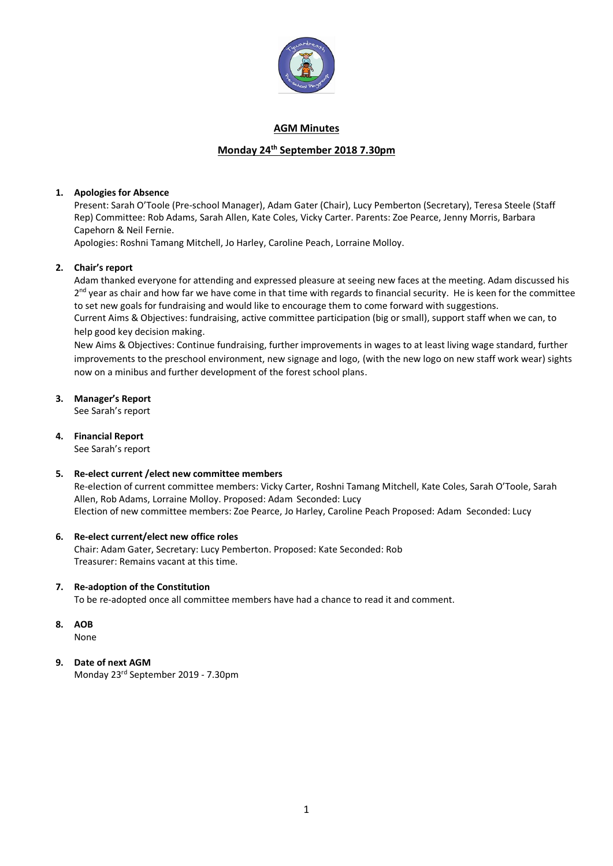

### **AGM Minutes**

# **Monday 24th September 2018 7.30pm**

### **1. Apologies for Absence**

Present: Sarah O'Toole (Pre-school Manager), Adam Gater (Chair), Lucy Pemberton (Secretary), Teresa Steele (Staff Rep) Committee: Rob Adams, Sarah Allen, Kate Coles, Vicky Carter. Parents: Zoe Pearce, Jenny Morris, Barbara Capehorn & Neil Fernie.

Apologies: Roshni Tamang Mitchell, Jo Harley, Caroline Peach, Lorraine Molloy.

### **2. Chair's report**

Adam thanked everyone for attending and expressed pleasure at seeing new faces at the meeting. Adam discussed his 2<sup>nd</sup> year as chair and how far we have come in that time with regards to financial security. He is keen for the committee to set new goals for fundraising and would like to encourage them to come forward with suggestions. Current Aims & Objectives: fundraising, active committee participation (big or small), support staff when we can, to help good key decision making.

New Aims & Objectives: Continue fundraising, further improvements in wages to at least living wage standard, further improvements to the preschool environment, new signage and logo, (with the new logo on new staff work wear) sights now on a minibus and further development of the forest school plans.

#### **3. Manager's Report**

See Sarah's report

### **4. Financial Report**

See Sarah's report

#### **5. Re-elect current /elect new committee members**

Re-election of current committee members: Vicky Carter, Roshni Tamang Mitchell, Kate Coles, Sarah O'Toole, Sarah Allen, Rob Adams, Lorraine Molloy. Proposed: Adam Seconded: Lucy Election of new committee members: Zoe Pearce, Jo Harley, Caroline Peach Proposed: Adam Seconded: Lucy

#### **6. Re-elect current/elect new office roles**

Chair: Adam Gater, Secretary: Lucy Pemberton. Proposed: Kate Seconded: Rob Treasurer: Remains vacant at this time.

#### **7. Re-adoption of the Constitution**

To be re-adopted once all committee members have had a chance to read it and comment.

**8. AOB**

None

### **9. Date of next AGM**

Monday 23rd September 2019 - 7.30pm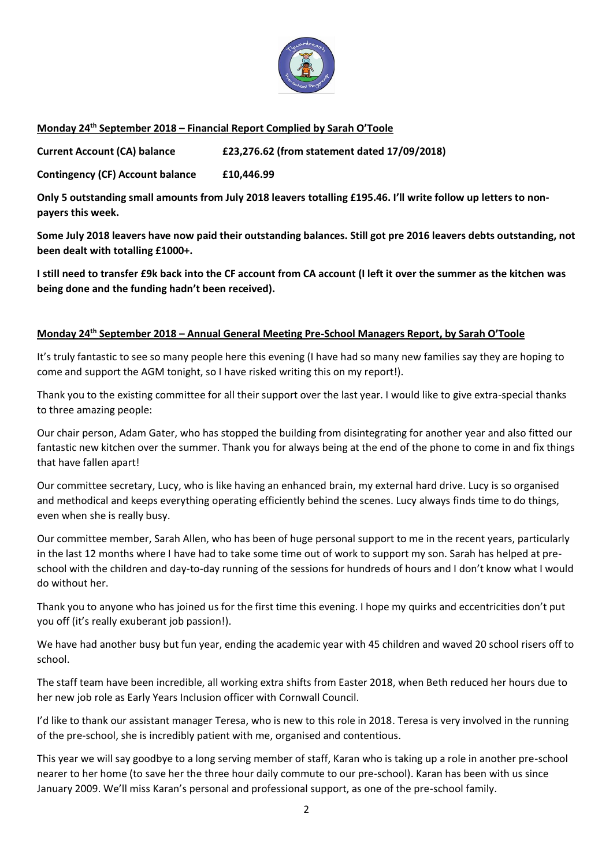

## **Monday 24th September 2018 – Financial Report Complied by Sarah O'Toole**

**Current Account (CA) balance £23,276.62 (from statement dated 17/09/2018)**

**Contingency (CF) Account balance £10,446.99**

**Only 5 outstanding small amounts from July 2018 leavers totalling £195.46. I'll write follow up letters to nonpayers this week.**

**Some July 2018 leavers have now paid their outstanding balances. Still got pre 2016 leavers debts outstanding, not been dealt with totalling £1000+.**

**I still need to transfer £9k back into the CF account from CA account (I left it over the summer as the kitchen was being done and the funding hadn't been received).**

### **Monday 24th September 2018 – Annual General Meeting Pre-School Managers Report, by Sarah O'Toole**

It's truly fantastic to see so many people here this evening (I have had so many new families say they are hoping to come and support the AGM tonight, so I have risked writing this on my report!).

Thank you to the existing committee for all their support over the last year. I would like to give extra-special thanks to three amazing people:

Our chair person, Adam Gater, who has stopped the building from disintegrating for another year and also fitted our fantastic new kitchen over the summer. Thank you for always being at the end of the phone to come in and fix things that have fallen apart!

Our committee secretary, Lucy, who is like having an enhanced brain, my external hard drive. Lucy is so organised and methodical and keeps everything operating efficiently behind the scenes. Lucy always finds time to do things, even when she is really busy.

Our committee member, Sarah Allen, who has been of huge personal support to me in the recent years, particularly in the last 12 months where I have had to take some time out of work to support my son. Sarah has helped at preschool with the children and day-to-day running of the sessions for hundreds of hours and I don't know what I would do without her.

Thank you to anyone who has joined us for the first time this evening. I hope my quirks and eccentricities don't put you off (it's really exuberant job passion!).

We have had another busy but fun year, ending the academic year with 45 children and waved 20 school risers off to school.

The staff team have been incredible, all working extra shifts from Easter 2018, when Beth reduced her hours due to her new job role as Early Years Inclusion officer with Cornwall Council.

I'd like to thank our assistant manager Teresa, who is new to this role in 2018. Teresa is very involved in the running of the pre-school, she is incredibly patient with me, organised and contentious.

This year we will say goodbye to a long serving member of staff, Karan who is taking up a role in another pre-school nearer to her home (to save her the three hour daily commute to our pre-school). Karan has been with us since January 2009. We'll miss Karan's personal and professional support, as one of the pre-school family.